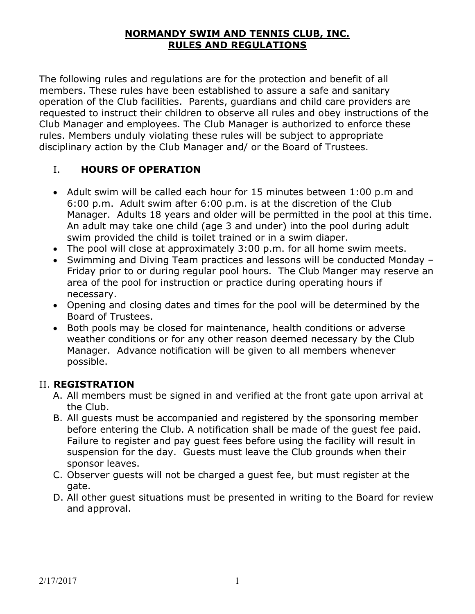### NORMANDY SWIM AND TENNIS CLUB, INC. RULES AND REGULATIONS

The following rules and regulations are for the protection and benefit of all members. These rules have been established to assure a safe and sanitary operation of the Club facilities. Parents, guardians and child care providers are requested to instruct their children to observe all rules and obey instructions of the Club Manager and employees. The Club Manager is authorized to enforce these rules. Members unduly violating these rules will be subject to appropriate disciplinary action by the Club Manager and/ or the Board of Trustees.

# I. HOURS OF OPERATION

- Adult swim will be called each hour for 15 minutes between 1:00 p.m and 6:00 p.m. Adult swim after 6:00 p.m. is at the discretion of the Club Manager. Adults 18 years and older will be permitted in the pool at this time. An adult may take one child (age 3 and under) into the pool during adult swim provided the child is toilet trained or in a swim diaper.
- The pool will close at approximately 3:00 p.m. for all home swim meets.
- Swimming and Diving Team practices and lessons will be conducted Monday -Friday prior to or during regular pool hours. The Club Manger may reserve an area of the pool for instruction or practice during operating hours if necessary.
- Opening and closing dates and times for the pool will be determined by the Board of Trustees.
- Both pools may be closed for maintenance, health conditions or adverse weather conditions or for any other reason deemed necessary by the Club Manager. Advance notification will be given to all members whenever possible.

## II. REGISTRATION

- A. All members must be signed in and verified at the front gate upon arrival at the Club.
- B. All guests must be accompanied and registered by the sponsoring member before entering the Club. A notification shall be made of the guest fee paid. Failure to register and pay guest fees before using the facility will result in suspension for the day. Guests must leave the Club grounds when their sponsor leaves.
- C. Observer guests will not be charged a guest fee, but must register at the gate.
- D. All other guest situations must be presented in writing to the Board for review and approval.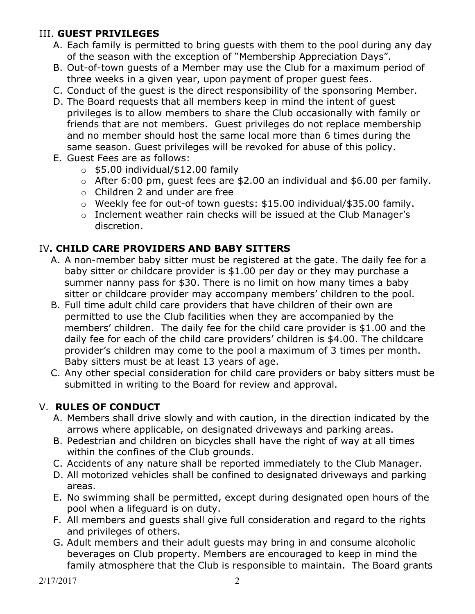# III. GUEST PRIVILEGES

- A. Each family is permitted to bring guests with them to the pool during any day of the season with the exception of "Membership Appreciation Days".
- B. Out-of-town guests of a Member may use the Club for a maximum period of three weeks in a given year, upon payment of proper guest fees.
- C. Conduct of the guest is the direct responsibility of the sponsoring Member.
- D. The Board requests that all members keep in mind the intent of guest privileges is to allow members to share the Club occasionally with family or friends that are not members. Guest privileges do not replace membership and no member should host the same local more than 6 times during the same season. Guest privileges will be revoked for abuse of this policy.
- E. Guest Fees are as follows:
	- $\circ$  \$5.00 individual/\$12.00 family
	- o After 6:00 pm, guest fees are \$2.00 an individual and \$6.00 per family.
	- o Children 2 and under are free
	- o Weekly fee for out-of town guests: \$15.00 individual/\$35.00 family.
	- o Inclement weather rain checks will be issued at the Club Manager's discretion.

# IV. CHILD CARE PROVIDERS AND BABY SITTERS

- A. A non-member baby sitter must be registered at the gate. The daily fee for a baby sitter or childcare provider is \$1.00 per day or they may purchase a summer nanny pass for \$30. There is no limit on how many times a baby sitter or childcare provider may accompany members' children to the pool.
- B. Full time adult child care providers that have children of their own are permitted to use the Club facilities when they are accompanied by the members' children. The daily fee for the child care provider is \$1.00 and the daily fee for each of the child care providers' children is \$4.00. The childcare provider's children may come to the pool a maximum of 3 times per month. Baby sitters must be at least 13 years of age.
- C. Any other special consideration for child care providers or baby sitters must be submitted in writing to the Board for review and approval.

## V. RULES OF CONDUCT

- A. Members shall drive slowly and with caution, in the direction indicated by the arrows where applicable, on designated driveways and parking areas.
- B. Pedestrian and children on bicycles shall have the right of way at all times within the confines of the Club grounds.
- C. Accidents of any nature shall be reported immediately to the Club Manager.
- D. All motorized vehicles shall be confined to designated driveways and parking areas.
- E. No swimming shall be permitted, except during designated open hours of the pool when a lifeguard is on duty.
- F. All members and guests shall give full consideration and regard to the rights and privileges of others.
- G. Adult members and their adult guests may bring in and consume alcoholic beverages on Club property. Members are encouraged to keep in mind the family atmosphere that the Club is responsible to maintain. The Board grants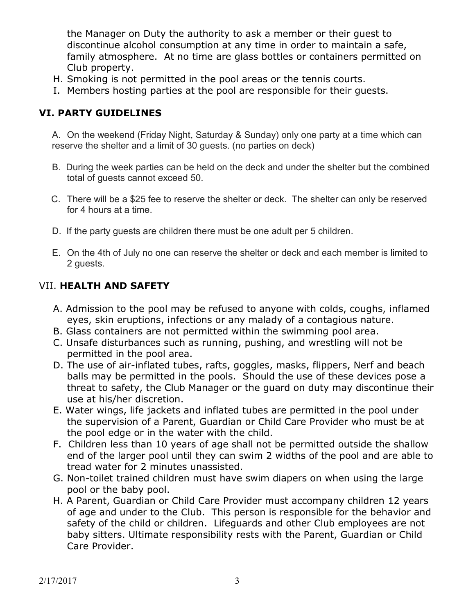the Manager on Duty the authority to ask a member or their guest to discontinue alcohol consumption at any time in order to maintain a safe, family atmosphere. At no time are glass bottles or containers permitted on Club property.

- H. Smoking is not permitted in the pool areas or the tennis courts.
- I. Members hosting parties at the pool are responsible for their guests.

#### VI. PARTY GUIDELINES

 A. On the weekend (Friday Night, Saturday & Sunday) only one party at a time which can reserve the shelter and a limit of 30 guests. (no parties on deck)

- B. During the week parties can be held on the deck and under the shelter but the combined total of guests cannot exceed 50.
- C. There will be a \$25 fee to reserve the shelter or deck. The shelter can only be reserved for 4 hours at a time.
- D. If the party guests are children there must be one adult per 5 children.
- E. On the 4th of July no one can reserve the shelter or deck and each member is limited to 2 guests.

#### VII. HEALTH AND SAFETY

- A. Admission to the pool may be refused to anyone with colds, coughs, inflamed eyes, skin eruptions, infections or any malady of a contagious nature.
- B. Glass containers are not permitted within the swimming pool area.
- C. Unsafe disturbances such as running, pushing, and wrestling will not be permitted in the pool area.
- D. The use of air-inflated tubes, rafts, goggles, masks, flippers, Nerf and beach balls may be permitted in the pools. Should the use of these devices pose a threat to safety, the Club Manager or the guard on duty may discontinue their use at his/her discretion.
- E. Water wings, life jackets and inflated tubes are permitted in the pool under the supervision of a Parent, Guardian or Child Care Provider who must be at the pool edge or in the water with the child.
- F. Children less than 10 years of age shall not be permitted outside the shallow end of the larger pool until they can swim 2 widths of the pool and are able to tread water for 2 minutes unassisted.
- G. Non-toilet trained children must have swim diapers on when using the large pool or the baby pool.
- H. A Parent, Guardian or Child Care Provider must accompany children 12 years of age and under to the Club. This person is responsible for the behavior and safety of the child or children. Lifeguards and other Club employees are not baby sitters. Ultimate responsibility rests with the Parent, Guardian or Child Care Provider.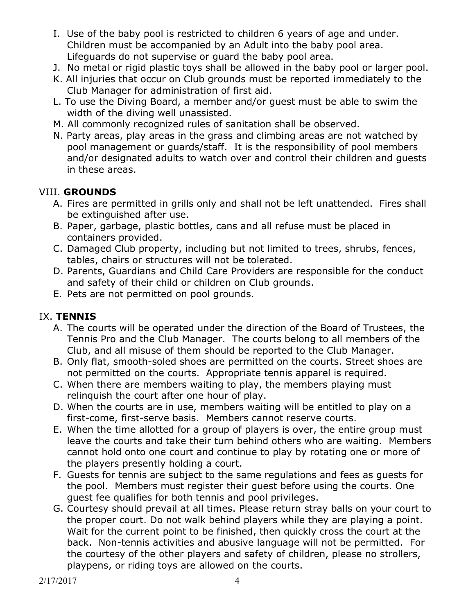- I. Use of the baby pool is restricted to children 6 years of age and under. Children must be accompanied by an Adult into the baby pool area. Lifeguards do not supervise or guard the baby pool area.
- J. No metal or rigid plastic toys shall be allowed in the baby pool or larger pool.
- K. All injuries that occur on Club grounds must be reported immediately to the Club Manager for administration of first aid.
- L. To use the Diving Board, a member and/or guest must be able to swim the width of the diving well unassisted.
- M. All commonly recognized rules of sanitation shall be observed.
- N. Party areas, play areas in the grass and climbing areas are not watched by pool management or guards/staff. It is the responsibility of pool members and/or designated adults to watch over and control their children and guests in these areas.

# VIII. GROUNDS

- A. Fires are permitted in grills only and shall not be left unattended. Fires shall be extinguished after use.
- B. Paper, garbage, plastic bottles, cans and all refuse must be placed in containers provided.
- C. Damaged Club property, including but not limited to trees, shrubs, fences, tables, chairs or structures will not be tolerated.
- D. Parents, Guardians and Child Care Providers are responsible for the conduct and safety of their child or children on Club grounds.
- E. Pets are not permitted on pool grounds.

## IX. TENNIS

- A. The courts will be operated under the direction of the Board of Trustees, the Tennis Pro and the Club Manager. The courts belong to all members of the Club, and all misuse of them should be reported to the Club Manager.
- B. Only flat, smooth-soled shoes are permitted on the courts. Street shoes are not permitted on the courts. Appropriate tennis apparel is required.
- C. When there are members waiting to play, the members playing must relinquish the court after one hour of play.
- D. When the courts are in use, members waiting will be entitled to play on a first-come, first-serve basis. Members cannot reserve courts.
- E. When the time allotted for a group of players is over, the entire group must leave the courts and take their turn behind others who are waiting. Members cannot hold onto one court and continue to play by rotating one or more of the players presently holding a court.
- F. Guests for tennis are subject to the same regulations and fees as guests for the pool. Members must register their guest before using the courts. One guest fee qualifies for both tennis and pool privileges.
- G. Courtesy should prevail at all times. Please return stray balls on your court to the proper court. Do not walk behind players while they are playing a point. Wait for the current point to be finished, then quickly cross the court at the back. Non-tennis activities and abusive language will not be permitted. For the courtesy of the other players and safety of children, please no strollers, playpens, or riding toys are allowed on the courts.